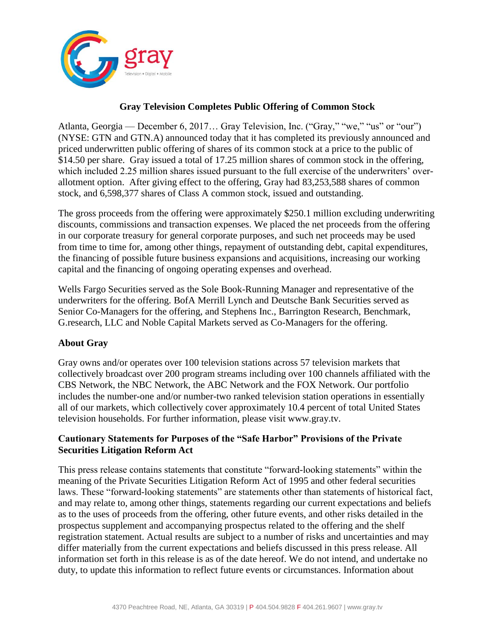

## **Gray Television Completes Public Offering of Common Stock**

Atlanta, Georgia — December 6, 2017… Gray Television, Inc. ("Gray," "we," "us" or "our") (NYSE: GTN and GTN.A) announced today that it has completed its previously announced and priced underwritten public offering of shares of its common stock at a price to the public of \$14.50 per share. Gray issued a total of 17.25 million shares of common stock in the offering, which included 2.25 million shares issued pursuant to the full exercise of the underwriters' overallotment option. After giving effect to the offering, Gray had 83,253,588 shares of common stock, and 6,598,377 shares of Class A common stock, issued and outstanding.

The gross proceeds from the offering were approximately \$250.1 million excluding underwriting discounts, commissions and transaction expenses. We placed the net proceeds from the offering in our corporate treasury for general corporate purposes, and such net proceeds may be used from time to time for, among other things, repayment of outstanding debt, capital expenditures, the financing of possible future business expansions and acquisitions, increasing our working capital and the financing of ongoing operating expenses and overhead.

Wells Fargo Securities served as the Sole Book-Running Manager and representative of the underwriters for the offering. BofA Merrill Lynch and Deutsche Bank Securities served as Senior Co-Managers for the offering, and Stephens Inc., Barrington Research, Benchmark, G.research, LLC and Noble Capital Markets served as Co-Managers for the offering.

## **About Gray**

Gray owns and/or operates over 100 television stations across 57 television markets that collectively broadcast over 200 program streams including over 100 channels affiliated with the CBS Network, the NBC Network, the ABC Network and the FOX Network. Our portfolio includes the number-one and/or number-two ranked television station operations in essentially all of our markets, which collectively cover approximately 10.4 percent of total United States television households. For further information, please visit www.gray.tv.

## **Cautionary Statements for Purposes of the "Safe Harbor" Provisions of the Private Securities Litigation Reform Act**

This press release contains statements that constitute "forward-looking statements" within the meaning of the Private Securities Litigation Reform Act of 1995 and other federal securities laws. These "forward-looking statements" are statements other than statements of historical fact, and may relate to, among other things, statements regarding our current expectations and beliefs as to the uses of proceeds from the offering, other future events, and other risks detailed in the prospectus supplement and accompanying prospectus related to the offering and the shelf registration statement. Actual results are subject to a number of risks and uncertainties and may differ materially from the current expectations and beliefs discussed in this press release. All information set forth in this release is as of the date hereof. We do not intend, and undertake no duty, to update this information to reflect future events or circumstances. Information about